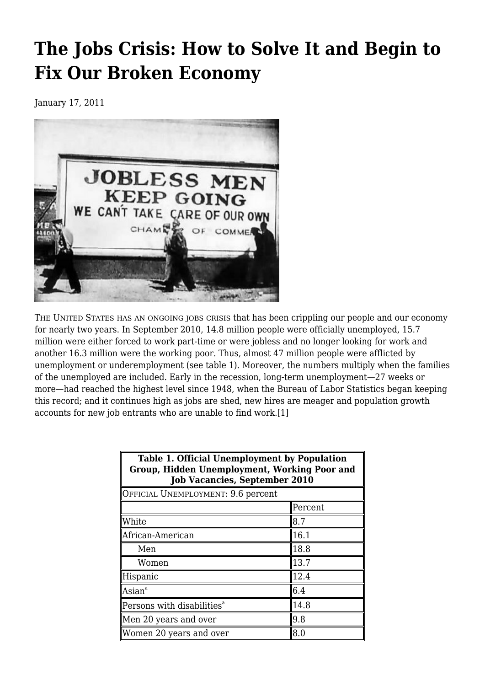# **[The Jobs Crisis: How to Solve It and Begin to](https://newpol.org/issue_post/jobs-crisis-how-solve-it-and-begin-fix-our-broken-economy/) [Fix Our Broken Economy](https://newpol.org/issue_post/jobs-crisis-how-solve-it-and-begin-fix-our-broken-economy/)**

January 17, 2011



THE UNITED STATES HAS AN ONGOING JOBS CRISIS that has been crippling our people and our economy for nearly two years. In September 2010, 14.8 million people were officially unemployed, 15.7 million were either forced to work part-time or were jobless and no longer looking for work and another 16.3 million were the working poor. Thus, almost 47 million people were afflicted by unemployment or underemployment (see table 1). Moreover, the numbers multiply when the families of the unemployed are included. Early in the recession, long-term unemployment—27 weeks or more—had reached the highest level since 1948, when the Bureau of Labor Statistics began keeping this record; and it continues high as jobs are shed, new hires are meager and population growth accounts for new job entrants who are unable to find work.[1]

| <b>Table 1. Official Unemployment by Population</b><br>Group, Hidden Unemployment, Working Poor and<br><b>Job Vacancies, September 2010</b><br>OFFICIAL UNEMPLOYMENT: 9.6 percent |      |
|-----------------------------------------------------------------------------------------------------------------------------------------------------------------------------------|------|
|                                                                                                                                                                                   |      |
| White                                                                                                                                                                             | 8.7  |
| African-American                                                                                                                                                                  | 16.1 |
| Men                                                                                                                                                                               | 18.8 |
| Women                                                                                                                                                                             | 13.7 |
| ∥Hispanic                                                                                                                                                                         | 12.4 |
| $\mathsf{U}$ Asian $^\mathtt{a}$                                                                                                                                                  | 6.4  |
| $\mathbb I$ Persons with disabilities $^{\text{a}}$                                                                                                                               | 14.8 |
| Men 20 years and over                                                                                                                                                             | 9.8  |
| Women 20 years and over                                                                                                                                                           | l8.0 |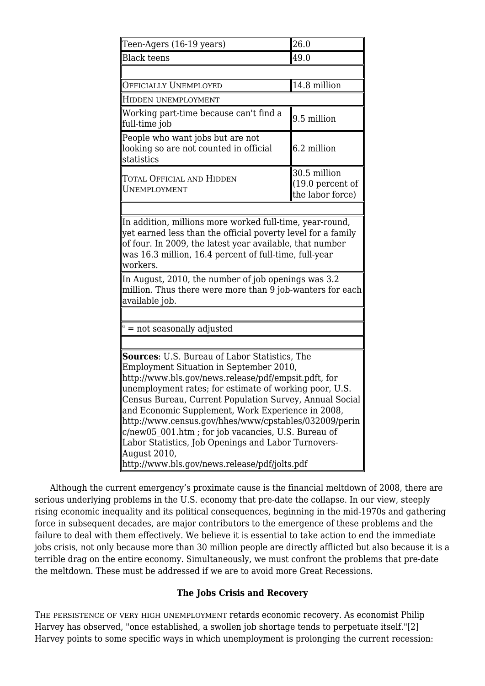| Teen-Agers (16-19 years)                                                                                                                                                                                                                                                                                                                                                                                                                                                                                                                                                 | 26.0                                                    |  |
|--------------------------------------------------------------------------------------------------------------------------------------------------------------------------------------------------------------------------------------------------------------------------------------------------------------------------------------------------------------------------------------------------------------------------------------------------------------------------------------------------------------------------------------------------------------------------|---------------------------------------------------------|--|
| <b>Black teens</b>                                                                                                                                                                                                                                                                                                                                                                                                                                                                                                                                                       | 49.0                                                    |  |
|                                                                                                                                                                                                                                                                                                                                                                                                                                                                                                                                                                          |                                                         |  |
| OFFICIALLY UNEMPLOYED                                                                                                                                                                                                                                                                                                                                                                                                                                                                                                                                                    | 14.8 million                                            |  |
| HIDDEN UNEMPLOYMENT                                                                                                                                                                                                                                                                                                                                                                                                                                                                                                                                                      |                                                         |  |
| Working part-time because can't find a<br>full-time job                                                                                                                                                                                                                                                                                                                                                                                                                                                                                                                  | $9.5$ million                                           |  |
| People who want jobs but are not<br>looking so are not counted in official<br>statistics                                                                                                                                                                                                                                                                                                                                                                                                                                                                                 | 6.2 million                                             |  |
| Total Official and Hidden<br>UNEMPLOYMENT                                                                                                                                                                                                                                                                                                                                                                                                                                                                                                                                | 30.5 million<br>$(19.0)$ percent of<br>the labor force) |  |
| of four. In 2009, the latest year available, that number<br>was 16.3 million, 16.4 percent of full-time, full-year<br>workers.<br>In August, 2010, the number of job openings was 3.2<br>million. Thus there were more than 9 job-wanters for each<br>available job.                                                                                                                                                                                                                                                                                                     |                                                         |  |
| = not seasonally adjusted                                                                                                                                                                                                                                                                                                                                                                                                                                                                                                                                                |                                                         |  |
| <b>Sources:</b> U.S. Bureau of Labor Statistics, The<br>Employment Situation in September 2010,<br>http://www.bls.gov/news.release/pdf/empsit.pdft, for<br>unemployment rates; for estimate of working poor, U.S.<br>Census Bureau, Current Population Survey, Annual Social<br>and Economic Supplement, Work Experience in 2008,<br>http://www.census.gov/hhes/www/cpstables/032009/perin<br>c/new05 001.htm; for job vacancies, U.S. Bureau of<br>Labor Statistics, Job Openings and Labor Turnovers-<br>August 2010,<br>http://www.bls.gov/news.release/pdf/jolts.pdf |                                                         |  |

 Although the current emergency's proximate cause is the financial meltdown of 2008, there are serious underlying problems in the U.S. economy that pre-date the collapse. In our view, steeply rising economic inequality and its political consequences, beginning in the mid-1970s and gathering force in subsequent decades, are major contributors to the emergence of these problems and the failure to deal with them effectively. We believe it is essential to take action to end the immediate jobs crisis, not only because more than 30 million people are directly afflicted but also because it is a terrible drag on the entire economy. Simultaneously, we must confront the problems that pre-date the meltdown. These must be addressed if we are to avoid more Great Recessions.

## **The Jobs Crisis and Recovery**

THE PERSISTENCE OF VERY HIGH UNEMPLOYMENT retards economic recovery. As economist Philip Harvey has observed, "once established, a swollen job shortage tends to perpetuate itself."[2] Harvey points to some specific ways in which unemployment is prolonging the current recession: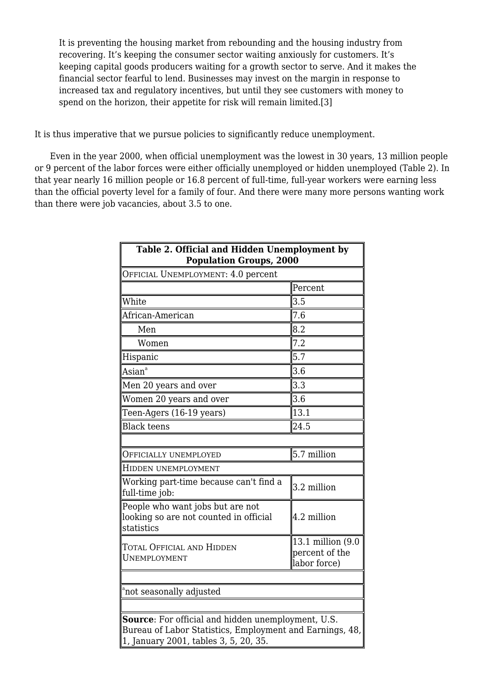It is preventing the housing market from rebounding and the housing industry from recovering. It's keeping the consumer sector waiting anxiously for customers. It's keeping capital goods producers waiting for a growth sector to serve. And it makes the financial sector fearful to lend. Businesses may invest on the margin in response to increased tax and regulatory incentives, but until they see customers with money to spend on the horizon, their appetite for risk will remain limited.[3]

It is thus imperative that we pursue policies to significantly reduce unemployment.

 Even in the year 2000, when official unemployment was the lowest in 30 years, 13 million people or 9 percent of the labor forces were either officially unemployed or hidden unemployed (Table 2). In that year nearly 16 million people or 16.8 percent of full-time, full-year workers were earning less than the official poverty level for a family of four. And there were many more persons wanting work than there were job vacancies, about 3.5 to one.

| Table 2. Official and Hidden Unemployment by<br><b>Population Groups, 2000</b>                                                                          |                                                     |  |
|---------------------------------------------------------------------------------------------------------------------------------------------------------|-----------------------------------------------------|--|
| OFFICIAL UNEMPLOYMENT: 4.0 percent                                                                                                                      |                                                     |  |
|                                                                                                                                                         | Percent                                             |  |
| White                                                                                                                                                   | 3.5                                                 |  |
| African-American                                                                                                                                        | 7.6                                                 |  |
| Men                                                                                                                                                     | 8.2                                                 |  |
| Women                                                                                                                                                   | 7.2                                                 |  |
| Hispanic                                                                                                                                                | 5.7                                                 |  |
| Asian <sup>a</sup>                                                                                                                                      | 3.6                                                 |  |
| Men 20 years and over                                                                                                                                   | 3.3                                                 |  |
| Women 20 years and over                                                                                                                                 | 3.6                                                 |  |
| Teen-Agers (16-19 years)                                                                                                                                | 13.1                                                |  |
| <b>Black teens</b>                                                                                                                                      | 24.5                                                |  |
|                                                                                                                                                         |                                                     |  |
| OFFICIALLY UNEMPLOYED                                                                                                                                   | $5.7$ million                                       |  |
| HIDDEN UNEMPLOYMENT                                                                                                                                     |                                                     |  |
| Working part-time because can't find a<br>full-time job:                                                                                                | 3.2 million                                         |  |
| People who want jobs but are not<br>looking so are not counted in official<br>statistics                                                                | 4.2 million                                         |  |
| TOTAL OFFICIAL AND HIDDEN<br>UNEMPLOYMENT                                                                                                               | 13.1 million (9.0<br>percent of the<br>labor force) |  |
| <sup>a</sup> not seasonally adjusted                                                                                                                    |                                                     |  |
| Source: For official and hidden unemployment, U.S.<br>Bureau of Labor Statistics, Employment and Earnings, 48,<br>1, January 2001, tables 3, 5, 20, 35. |                                                     |  |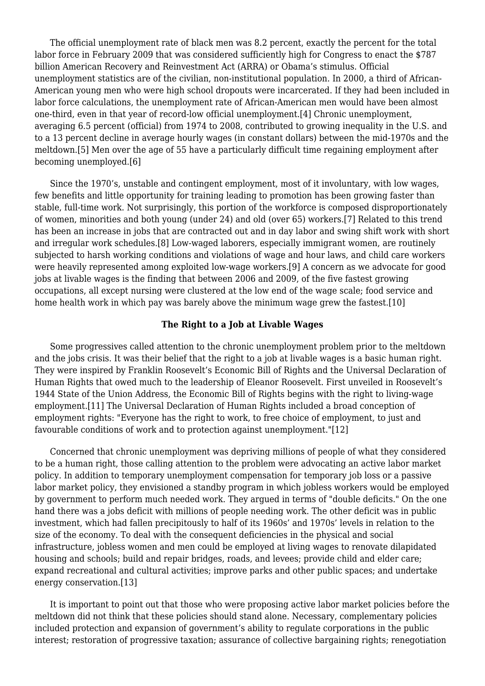The official unemployment rate of black men was 8.2 percent, exactly the percent for the total labor force in February 2009 that was considered sufficiently high for Congress to enact the \$787 billion American Recovery and Reinvestment Act (ARRA) or Obama's stimulus. Official unemployment statistics are of the civilian, non-institutional population. In 2000, a third of African-American young men who were high school dropouts were incarcerated. If they had been included in labor force calculations, the unemployment rate of African-American men would have been almost one-third, even in that year of record-low official unemployment.[4] Chronic unemployment, averaging 6.5 percent (official) from 1974 to 2008, contributed to growing inequality in the U.S. and to a 13 percent decline in average hourly wages (in constant dollars) between the mid-1970s and the meltdown.[5] Men over the age of 55 have a particularly difficult time regaining employment after becoming unemployed.[6]

 Since the 1970's, unstable and contingent employment, most of it involuntary, with low wages, few benefits and little opportunity for training leading to promotion has been growing faster than stable, full-time work. Not surprisingly, this portion of the workforce is composed disproportionately of women, minorities and both young (under 24) and old (over 65) workers.[7] Related to this trend has been an increase in jobs that are contracted out and in day labor and swing shift work with short and irregular work schedules.[8] Low-waged laborers, especially immigrant women, are routinely subjected to harsh working conditions and violations of wage and hour laws, and child care workers were heavily represented among exploited low-wage workers.[9] A concern as we advocate for good jobs at livable wages is the finding that between 2006 and 2009, of the five fastest growing occupations, all except nursing were clustered at the low end of the wage scale; food service and home health work in which pay was barely above the minimum wage grew the fastest.[10]

#### **The Right to a Job at Livable Wages**

 Some progressives called attention to the chronic unemployment problem prior to the meltdown and the jobs crisis. It was their belief that the right to a job at livable wages is a basic human right. They were inspired by Franklin Roosevelt's Economic Bill of Rights and the Universal Declaration of Human Rights that owed much to the leadership of Eleanor Roosevelt. First unveiled in Roosevelt's 1944 State of the Union Address, the Economic Bill of Rights begins with the right to living-wage employment.[11] The Universal Declaration of Human Rights included a broad conception of employment rights: "Everyone has the right to work, to free choice of employment, to just and favourable conditions of work and to protection against unemployment."[12]

 Concerned that chronic unemployment was depriving millions of people of what they considered to be a human right, those calling attention to the problem were advocating an active labor market policy. In addition to temporary unemployment compensation for temporary job loss or a passive labor market policy, they envisioned a standby program in which jobless workers would be employed by government to perform much needed work. They argued in terms of "double deficits." On the one hand there was a jobs deficit with millions of people needing work. The other deficit was in public investment, which had fallen precipitously to half of its 1960s' and 1970s' levels in relation to the size of the economy. To deal with the consequent deficiencies in the physical and social infrastructure, jobless women and men could be employed at living wages to renovate dilapidated housing and schools; build and repair bridges, roads, and levees; provide child and elder care; expand recreational and cultural activities; improve parks and other public spaces; and undertake energy conservation.[13]

 It is important to point out that those who were proposing active labor market policies before the meltdown did not think that these policies should stand alone. Necessary, complementary policies included protection and expansion of government's ability to regulate corporations in the public interest; restoration of progressive taxation; assurance of collective bargaining rights; renegotiation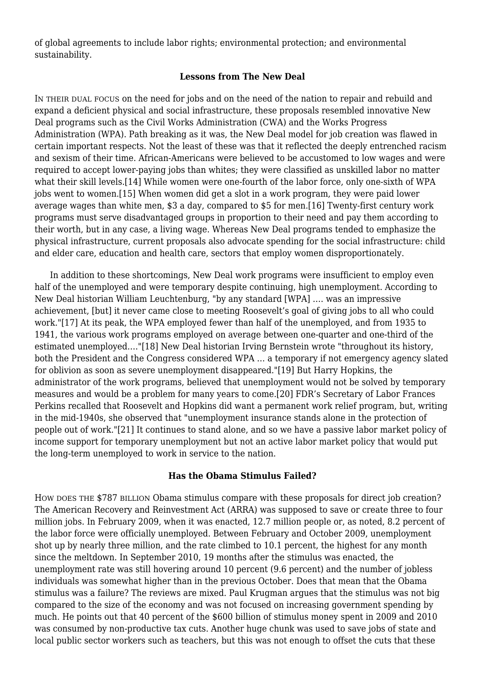of global agreements to include labor rights; environmental protection; and environmental sustainability.

## **Lessons from The New Deal**

IN THEIR DUAL FOCUS on the need for jobs and on the need of the nation to repair and rebuild and expand a deficient physical and social infrastructure, these proposals resembled innovative New Deal programs such as the Civil Works Administration (CWA) and the Works Progress Administration (WPA). Path breaking as it was, the New Deal model for job creation was flawed in certain important respects. Not the least of these was that it reflected the deeply entrenched racism and sexism of their time. African-Americans were believed to be accustomed to low wages and were required to accept lower-paying jobs than whites; they were classified as unskilled labor no matter what their skill levels.[14] While women were one-fourth of the labor force, only one-sixth of WPA jobs went to women.[15] When women did get a slot in a work program, they were paid lower average wages than white men, \$3 a day, compared to \$5 for men.[16] Twenty-first century work programs must serve disadvantaged groups in proportion to their need and pay them according to their worth, but in any case, a living wage. Whereas New Deal programs tended to emphasize the physical infrastructure, current proposals also advocate spending for the social infrastructure: child and elder care, education and health care, sectors that employ women disproportionately.

 In addition to these shortcomings, New Deal work programs were insufficient to employ even half of the unemployed and were temporary despite continuing, high unemployment. According to New Deal historian William Leuchtenburg, "by any standard [WPA] …. was an impressive achievement, [but] it never came close to meeting Roosevelt's goal of giving jobs to all who could work."[17] At its peak, the WPA employed fewer than half of the unemployed, and from 1935 to 1941, the various work programs employed on average between one-quarter and one-third of the estimated unemployed…."[18] New Deal historian Irving Bernstein wrote "throughout its history, both the President and the Congress considered WPA … a temporary if not emergency agency slated for oblivion as soon as severe unemployment disappeared."[19] But Harry Hopkins, the administrator of the work programs, believed that unemployment would not be solved by temporary measures and would be a problem for many years to come.[20] FDR's Secretary of Labor Frances Perkins recalled that Roosevelt and Hopkins did want a permanent work relief program, but, writing in the mid-1940s, she observed that "unemployment insurance stands alone in the protection of people out of work."[21] It continues to stand alone, and so we have a passive labor market policy of income support for temporary unemployment but not an active labor market policy that would put the long-term unemployed to work in service to the nation.

### **Has the Obama Stimulus Failed?**

HOW DOES THE \$787 BILLION Obama stimulus compare with these proposals for direct job creation? The American Recovery and Reinvestment Act (ARRA) was supposed to save or create three to four million jobs. In February 2009, when it was enacted, 12.7 million people or, as noted, 8.2 percent of the labor force were officially unemployed. Between February and October 2009, unemployment shot up by nearly three million, and the rate climbed to 10.1 percent, the highest for any month since the meltdown. In September 2010, 19 months after the stimulus was enacted, the unemployment rate was still hovering around 10 percent (9.6 percent) and the number of jobless individuals was somewhat higher than in the previous October. Does that mean that the Obama stimulus was a failure? The reviews are mixed. Paul Krugman argues that the stimulus was not big compared to the size of the economy and was not focused on increasing government spending by much. He points out that 40 percent of the \$600 billion of stimulus money spent in 2009 and 2010 was consumed by non-productive tax cuts. Another huge chunk was used to save jobs of state and local public sector workers such as teachers, but this was not enough to offset the cuts that these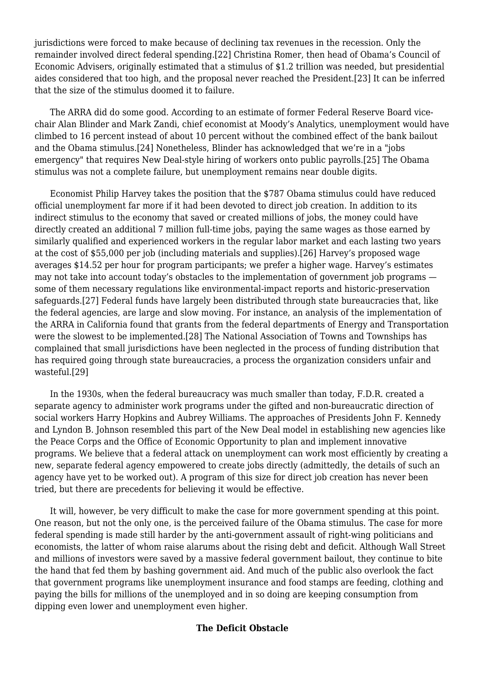jurisdictions were forced to make because of declining tax revenues in the recession. Only the remainder involved direct federal spending.[22] Christina Romer, then head of Obama's Council of Economic Advisers, originally estimated that a stimulus of \$1.2 trillion was needed, but presidential aides considered that too high, and the proposal never reached the President.[23] It can be inferred that the size of the stimulus doomed it to failure.

 The ARRA did do some good. According to an estimate of former Federal Reserve Board vicechair Alan Blinder and Mark Zandi, chief economist at Moody's Analytics, unemployment would have climbed to 16 percent instead of about 10 percent without the combined effect of the bank bailout and the Obama stimulus.[24] Nonetheless, Blinder has acknowledged that we're in a "jobs emergency" that requires New Deal-style hiring of workers onto public payrolls.[25] The Obama stimulus was not a complete failure, but unemployment remains near double digits.

 Economist Philip Harvey takes the position that the \$787 Obama stimulus could have reduced official unemployment far more if it had been devoted to direct job creation. In addition to its indirect stimulus to the economy that saved or created millions of jobs, the money could have directly created an additional 7 million full-time jobs, paying the same wages as those earned by similarly qualified and experienced workers in the regular labor market and each lasting two years at the cost of \$55,000 per job (including materials and supplies).[26] Harvey's proposed wage averages \$14.52 per hour for program participants; we prefer a higher wage. Harvey's estimates may not take into account today's obstacles to the implementation of government job programs some of them necessary regulations like environmental-impact reports and historic-preservation safeguards.[27] Federal funds have largely been distributed through state bureaucracies that, like the federal agencies, are large and slow moving. For instance, an analysis of the implementation of the ARRA in California found that grants from the federal departments of Energy and Transportation were the slowest to be implemented.[28] The National Association of Towns and Townships has complained that small jurisdictions have been neglected in the process of funding distribution that has required going through state bureaucracies, a process the organization considers unfair and wasteful.[29]

 In the 1930s, when the federal bureaucracy was much smaller than today, F.D.R. created a separate agency to administer work programs under the gifted and non-bureaucratic direction of social workers Harry Hopkins and Aubrey Williams. The approaches of Presidents John F. Kennedy and Lyndon B. Johnson resembled this part of the New Deal model in establishing new agencies like the Peace Corps and the Office of Economic Opportunity to plan and implement innovative programs. We believe that a federal attack on unemployment can work most efficiently by creating a new, separate federal agency empowered to create jobs directly (admittedly, the details of such an agency have yet to be worked out). A program of this size for direct job creation has never been tried, but there are precedents for believing it would be effective.

 It will, however, be very difficult to make the case for more government spending at this point. One reason, but not the only one, is the perceived failure of the Obama stimulus. The case for more federal spending is made still harder by the anti-government assault of right-wing politicians and economists, the latter of whom raise alarums about the rising debt and deficit. Although Wall Street and millions of investors were saved by a massive federal government bailout, they continue to bite the hand that fed them by bashing government aid. And much of the public also overlook the fact that government programs like unemployment insurance and food stamps are feeding, clothing and paying the bills for millions of the unemployed and in so doing are keeping consumption from dipping even lower and unemployment even higher.

## **The Deficit Obstacle**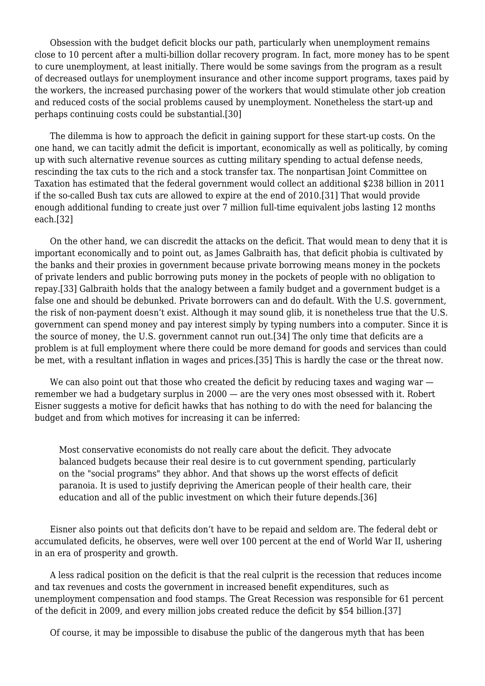Obsession with the budget deficit blocks our path, particularly when unemployment remains close to 10 percent after a multi-billion dollar recovery program. In fact, more money has to be spent to cure unemployment, at least initially. There would be some savings from the program as a result of decreased outlays for unemployment insurance and other income support programs, taxes paid by the workers, the increased purchasing power of the workers that would stimulate other job creation and reduced costs of the social problems caused by unemployment. Nonetheless the start-up and perhaps continuing costs could be substantial.[30]

 The dilemma is how to approach the deficit in gaining support for these start-up costs. On the one hand, we can tacitly admit the deficit is important, economically as well as politically, by coming up with such alternative revenue sources as cutting military spending to actual defense needs, rescinding the tax cuts to the rich and a stock transfer tax. The nonpartisan Joint Committee on Taxation has estimated that the federal government would collect an additional \$238 billion in 2011 if the so-called Bush tax cuts are allowed to expire at the end of 2010.[31] That would provide enough additional funding to create just over 7 million full-time equivalent jobs lasting 12 months each.[32]

 On the other hand, we can discredit the attacks on the deficit. That would mean to deny that it is important economically and to point out, as James Galbraith has, that deficit phobia is cultivated by the banks and their proxies in government because private borrowing means money in the pockets of private lenders and public borrowing puts money in the pockets of people with no obligation to repay.[33] Galbraith holds that the analogy between a family budget and a government budget is a false one and should be debunked. Private borrowers can and do default. With the U.S. government, the risk of non-payment doesn't exist. Although it may sound glib, it is nonetheless true that the U.S. government can spend money and pay interest simply by typing numbers into a computer. Since it is the source of money, the U.S. government cannot run out.[34] The only time that deficits are a problem is at full employment where there could be more demand for goods and services than could be met, with a resultant inflation in wages and prices.[35] This is hardly the case or the threat now.

We can also point out that those who created the deficit by reducing taxes and waging war remember we had a budgetary surplus in 2000 — are the very ones most obsessed with it. Robert Eisner suggests a motive for deficit hawks that has nothing to do with the need for balancing the budget and from which motives for increasing it can be inferred:

Most conservative economists do not really care about the deficit. They advocate balanced budgets because their real desire is to cut government spending, particularly on the "social programs" they abhor. And that shows up the worst effects of deficit paranoia. It is used to justify depriving the American people of their health care, their education and all of the public investment on which their future depends.[36]

 Eisner also points out that deficits don't have to be repaid and seldom are. The federal debt or accumulated deficits, he observes, were well over 100 percent at the end of World War II, ushering in an era of prosperity and growth.

 A less radical position on the deficit is that the real culprit is the recession that reduces income and tax revenues and costs the government in increased benefit expenditures, such as unemployment compensation and food stamps. The Great Recession was responsible for 61 percent of the deficit in 2009, and every million jobs created reduce the deficit by \$54 billion.[37]

Of course, it may be impossible to disabuse the public of the dangerous myth that has been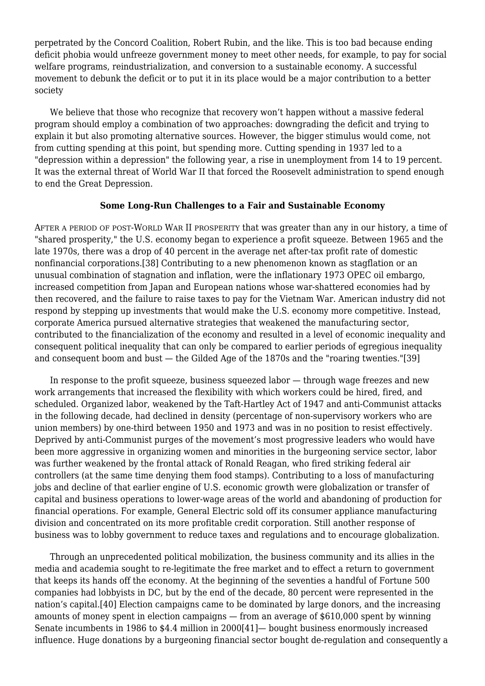perpetrated by the Concord Coalition, Robert Rubin, and the like. This is too bad because ending deficit phobia would unfreeze government money to meet other needs, for example, to pay for social welfare programs, reindustrialization, and conversion to a sustainable economy. A successful movement to debunk the deficit or to put it in its place would be a major contribution to a better society

 We believe that those who recognize that recovery won't happen without a massive federal program should employ a combination of two approaches: downgrading the deficit and trying to explain it but also promoting alternative sources. However, the bigger stimulus would come, not from cutting spending at this point, but spending more. Cutting spending in 1937 led to a "depression within a depression" the following year, a rise in unemployment from 14 to 19 percent. It was the external threat of World War II that forced the Roosevelt administration to spend enough to end the Great Depression.

#### **Some Long-Run Challenges to a Fair and Sustainable Economy**

AFTER A PERIOD OF POST-WORLD WAR II PROSPERITY that was greater than any in our history, a time of "shared prosperity," the U.S. economy began to experience a profit squeeze. Between 1965 and the late 1970s, there was a drop of 40 percent in the average net after-tax profit rate of domestic nonfinancial corporations.[38] Contributing to a new phenomenon known as stagflation or an unusual combination of stagnation and inflation, were the inflationary 1973 OPEC oil embargo, increased competition from Japan and European nations whose war-shattered economies had by then recovered, and the failure to raise taxes to pay for the Vietnam War. American industry did not respond by stepping up investments that would make the U.S. economy more competitive. Instead, corporate America pursued alternative strategies that weakened the manufacturing sector, contributed to the financialization of the economy and resulted in a level of economic inequality and consequent political inequality that can only be compared to earlier periods of egregious inequality and consequent boom and bust — the Gilded Age of the 1870s and the "roaring twenties."[39]

 In response to the profit squeeze, business squeezed labor — through wage freezes and new work arrangements that increased the flexibility with which workers could be hired, fired, and scheduled. Organized labor, weakened by the Taft-Hartley Act of 1947 and anti-Communist attacks in the following decade, had declined in density (percentage of non-supervisory workers who are union members) by one-third between 1950 and 1973 and was in no position to resist effectively. Deprived by anti-Communist purges of the movement's most progressive leaders who would have been more aggressive in organizing women and minorities in the burgeoning service sector, labor was further weakened by the frontal attack of Ronald Reagan, who fired striking federal air controllers (at the same time denying them food stamps). Contributing to a loss of manufacturing jobs and decline of that earlier engine of U.S. economic growth were globalization or transfer of capital and business operations to lower-wage areas of the world and abandoning of production for financial operations. For example, General Electric sold off its consumer appliance manufacturing division and concentrated on its more profitable credit corporation. Still another response of business was to lobby government to reduce taxes and regulations and to encourage globalization.

 Through an unprecedented political mobilization, the business community and its allies in the media and academia sought to re-legitimate the free market and to effect a return to government that keeps its hands off the economy. At the beginning of the seventies a handful of Fortune 500 companies had lobbyists in DC, but by the end of the decade, 80 percent were represented in the nation's capital.[40] Election campaigns came to be dominated by large donors, and the increasing amounts of money spent in election campaigns — from an average of \$610,000 spent by winning Senate incumbents in 1986 to \$4.4 million in 2000[41]— bought business enormously increased influence. Huge donations by a burgeoning financial sector bought de-regulation and consequently a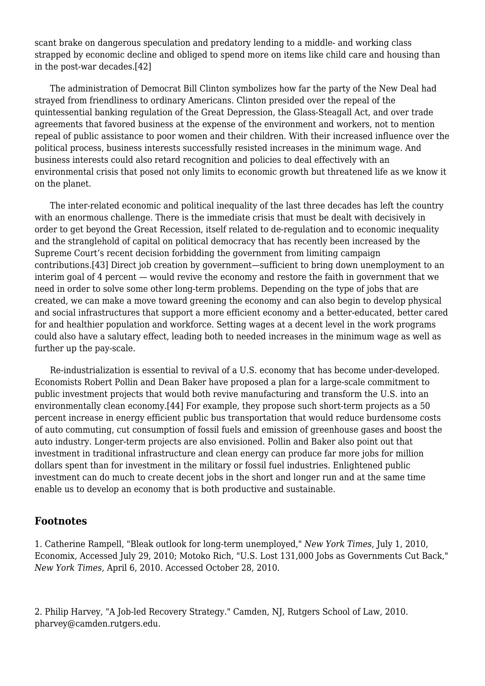scant brake on dangerous speculation and predatory lending to a middle- and working class strapped by economic decline and obliged to spend more on items like child care and housing than in the post-war decades.[42]

 The administration of Democrat Bill Clinton symbolizes how far the party of the New Deal had strayed from friendliness to ordinary Americans. Clinton presided over the repeal of the quintessential banking regulation of the Great Depression, the Glass-Steagall Act, and over trade agreements that favored business at the expense of the environment and workers, not to mention repeal of public assistance to poor women and their children. With their increased influence over the political process, business interests successfully resisted increases in the minimum wage. And business interests could also retard recognition and policies to deal effectively with an environmental crisis that posed not only limits to economic growth but threatened life as we know it on the planet.

 The inter-related economic and political inequality of the last three decades has left the country with an enormous challenge. There is the immediate crisis that must be dealt with decisively in order to get beyond the Great Recession, itself related to de-regulation and to economic inequality and the stranglehold of capital on political democracy that has recently been increased by the Supreme Court's recent decision forbidding the government from limiting campaign contributions.[43] Direct job creation by government—sufficient to bring down unemployment to an interim goal of 4 percent — would revive the economy and restore the faith in government that we need in order to solve some other long-term problems. Depending on the type of jobs that are created, we can make a move toward greening the economy and can also begin to develop physical and social infrastructures that support a more efficient economy and a better-educated, better cared for and healthier population and workforce. Setting wages at a decent level in the work programs could also have a salutary effect, leading both to needed increases in the minimum wage as well as further up the pay-scale.

 Re-industrialization is essential to revival of a U.S. economy that has become under-developed. Economists Robert Pollin and Dean Baker have proposed a plan for a large-scale commitment to public investment projects that would both revive manufacturing and transform the U.S. into an environmentally clean economy.[44] For example, they propose such short-term projects as a 50 percent increase in energy efficient public bus transportation that would reduce burdensome costs of auto commuting, cut consumption of fossil fuels and emission of greenhouse gases and boost the auto industry. Longer-term projects are also envisioned. Pollin and Baker also point out that investment in traditional infrastructure and clean energy can produce far more jobs for million dollars spent than for investment in the military or fossil fuel industries. Enlightened public investment can do much to create decent jobs in the short and longer run and at the same time enable us to develop an economy that is both productive and sustainable.

## **Footnotes**

1. Catherine Rampell, ["Bleak outlook for long-term unemployed](https://newpol.org/%E2%80%9Dhttp://economix.blogs.nytimes.com/2010/07/02/bleak-outlook-for-long-term-unemployed/#more-71685%E2%80%9D)," *New York Times*, July 1, 2010, Economix, Accessed July 29, 2010; Motoko Rich, "U.S. Lost 131,000 Jobs as Governments Cut Back," *New York Times*, April 6, 2010. Accessed October 28, 2010.

2. Philip Harvey, "A Job-led Recovery Strategy." Camden, NJ, Rutgers School of Law, 2010. pharvey@camden.rutgers.edu.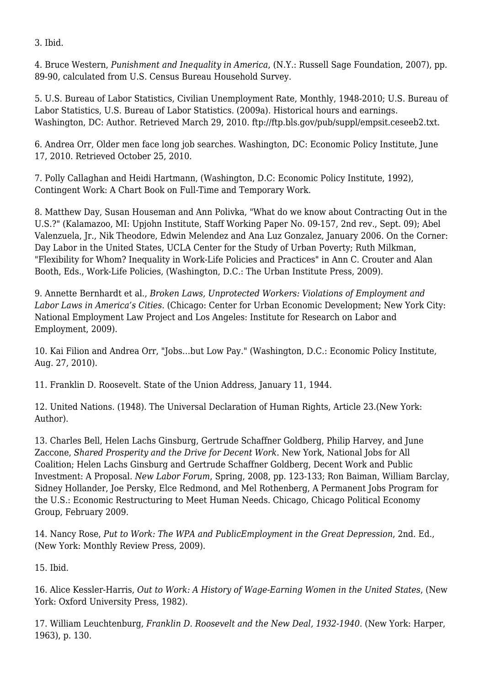3. Ibid.

4. Bruce Western, *Punishment and Inequality in America*, (N.Y.: Russell Sage Foundation, 2007), pp. 89-90, calculated from U.S. Census Bureau Household Survey.

5. U.S. Bureau of Labor Statistics, [Civilian Unemployment Rate,](http://research.stlouisfed.org/fred2/data/UNRATE.txt) Monthly, 1948-2010; U.S. Bureau of Labor Statistics, U.S. Bureau of Labor Statistics. (2009a). Historical hours and earnings. Washington, DC: Author. Retrieved March 29, 2010. ftp://ftp.bls.gov/pub/suppl/empsit.ceseeb2.txt.

6. Andrea Orr, [Older men face long job searches.](https://newpol.org/%E2%80%9Dhttp://www.epi.org/economic_snapshots/entry/older_men_face_longer_job_searches/%E2%80%9D) Washington, DC: Economic Policy Institute, June 17, 2010. Retrieved October 25, 2010.

7. Polly Callaghan and Heidi Hartmann, (Washington, D.C: Economic Policy Institute, 1992), [Contingent Work: A Chart Book on Full-Time and Temporary Work.](https://newpol.org/%E2%80%9Dhttp://www.epi.org/publications/entry/studies_1992_%E2%80%9D)

8. Matthew Day, Susan Houseman and Ann Polivka, ["What do we know about Contracting Out in the](https://newpol.org/%E2%80%9Dhttp://www.upjohninst.org%E2%80%9D) [U.S.?](https://newpol.org/%E2%80%9Dhttp://www.upjohninst.org%E2%80%9D)" (Kalamazoo, MI: Upjohn Institute, Staff Working Paper No. 09-157, 2nd rev., Sept. 09); Abel Valenzuela, Jr., Nik Theodore, Edwin Melendez and Ana Luz Gonzalez, January 2006. [On the Corner:](http://www.sscnet.ucla.edu/issr/csup/index.php) [Day Labor in the United States](http://www.sscnet.ucla.edu/issr/csup/index.php), UCLA Center for the Study of Urban Poverty; Ruth Milkman, "Flexibility for Whom? Inequality in Work-Life Policies and Practices" in Ann C. Crouter and Alan Booth, Eds., Work-Life Policies, (Washington, D.C.: The Urban Institute Press, 2009).

9. Annette Bernhardt et al., *[Broken Laws, Unprotected Workers:](http://www.uic.edu/cuppa/uicued) Violations of Employment and Labor Laws in America's Cities*. (Chicago: Center for Urban Economic Development; New York City: National Employment Law Project and Los Angeles: Institute for Research on Labor and Employment, 2009).

10. Kai Filion and Andrea Orr, "[Jobs…but Low Pay.](https://newpol.org/%E2%80%9Dhttp://www.epi.org/publications/entry/news_from_epi_jobs_..._but_low_pay/%E2%80%9D)" (Washington, D.C.: Economic Policy Institute, Aug. 27, 2010).

11. Franklin D. Roosevelt. [State of the Union Address](https://newpol.org/%E2%80%9Dhttp://teachingamericanhistory.org/library/index.asp?document=463%E2%80%9D), January 11, 1944.

12. United Nations. (1948). [The Universal Declaration of Human Rights](https://newpol.org/%E2%80%9Dhttp://www.un.org/en/documents/udhr/index.shtml%E2%80%9C), Article 23.(New York: Author).

13. Charles Bell, Helen Lachs Ginsburg, Gertrude Schaffner Goldberg, Philip Harvey, and June Zaccone, *[Shared Prosperity and the Drive for Decent Work](https://newpol.org/%E2%80%9Dhttp://www.njfac.org/sharedpros.htm%E2%80%9C)*. New York, National Jobs for All Coalition; Helen Lachs Ginsburg and Gertrude Schaffner Goldberg, Decent Work and Public Investment: A Proposal. *New Labor Forum*, Spring, 2008, pp. 123-133; Ron Baiman, William Barclay, Sidney Hollander, Joe Persky, Elce Redmond, and Mel Rothenberg, [A Permanent Jobs Program for](https://newpol.org/%E2%80%9Dhttp://www.cpegonline.org/reports/jobs.pdf%E2%80%9C) [the U.S.](https://newpol.org/%E2%80%9Dhttp://www.cpegonline.org/reports/jobs.pdf%E2%80%9C): Economic Restructuring to Meet Human Needs. Chicago, Chicago Political Economy Group, February 2009.

14. Nancy Rose, *Put to Work: The WPA and PublicEmployment in the Great Depression*, 2nd. Ed., (New York: Monthly Review Press, 2009).

15. Ibid.

16. Alice Kessler-Harris, *Out to Work: A History of Wage-Earning Women in the United States*, (New York: Oxford University Press, 1982).

17. William Leuchtenburg, *Franklin D. Roosevelt and the New Deal, 1932-1940*. (New York: Harper, 1963), p. 130.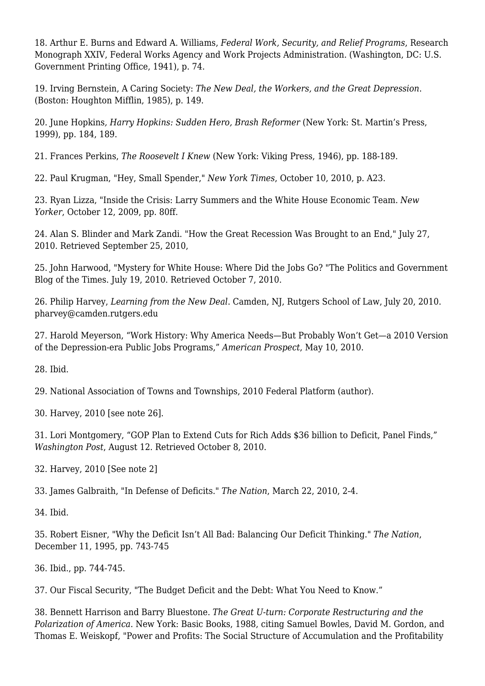18. Arthur E. Burns and Edward A. Williams, *Federal Work, Security, and Relief Programs*, Research Monograph XXIV, Federal Works Agency and Work Projects Administration. (Washington, DC: U.S. Government Printing Office, 1941), p. 74.

19. Irving Bernstein, A Caring Society: *The New Deal, the Workers, and the Great Depression*. (Boston: Houghton Mifflin, 1985), p. 149.

20. June Hopkins*, Harry Hopkins: Sudden Hero, Brash Reformer* (New York: St. Martin's Press, 1999), pp. 184, 189.

21. Frances Perkins, *The Roosevelt I Knew* (New York: Viking Press, 1946), pp. 188-189.

22. Paul Krugman, "Hey, Small Spender," *New York Times*, October 10, 2010, p. A23.

23. Ryan Lizza, "Inside the Crisis: Larry Summers and the White House Economic Team. *New Yorker*, October 12, 2009, pp. 80ff.

24. Alan S. Blinder and Mark Zandi. ["How the Great Recession Was Brought to an End,](https://newpol.org/%E2%80%9Dhttp://www.economy.com/mark-zandi/documents/End-of-Great-Recession.pdf%E2%80%9C)" July 27, 2010. Retrieved September 25, 2010,

25. John Harwood, ["Mystery for White House: Where Did the Jobs Go?](https://newpol.org/%E2%80%9Dhttp://thecaucus.blogs.nytimes.com/2010/07/19/mystery-for-white-house-where-did-the-jobs-go/%E2%80%9D) "The Politics and Government Blog of the Times. July 19, 2010. Retrieved October 7, 2010.

26. Philip Harvey, *Learning from the New Deal*. Camden, NJ, Rutgers School of Law, July 20, 2010. pharvey@camden.rutgers.edu

27. Harold Meyerson, ["Work History: Why America Needs—But Probably Won't Get—a 2010 Version](https://newpol.org/%E2%80%9Dhttp://www.prospect.org/cs/articles?article=work_history%E2%80%9C) [of the Depression-era Public Jobs Programs,](https://newpol.org/%E2%80%9Dhttp://www.prospect.org/cs/articles?article=work_history%E2%80%9C)" *American Prospect*, May 10, 2010.

28. Ibid.

29. National Association of Towns and Townships, [2010 Federal Platform](https://newpol.org/%E2%80%9Dhttp://michigantownships.org/downloads/natat_fed_platform_10_web.pdf%E2%80%9C) (author).

30. Harvey, 2010 [see note 26].

31. Lori Montgomery, "[GOP Plan to Extend Cuts for Rich Adds \\$36 billion to Deficit, Panel Finds,](https://newpol.org/%E2%80%9Dhttp://www.washingtonpost.com/wp-dyn/content/article/2010/08/11/AR2010081105864.html%E2%80%9C)" *Washington Post*, August 12. Retrieved October 8, 2010.

32. Harvey, 2010 [See note 2]

33. James Galbraith, "In Defense of Deficits." *The Nation*, March 22, 2010, 2-4.

34. Ibid.

35. Robert Eisner, "Why the Deficit Isn't All Bad: Balancing Our Deficit Thinking." *The Nation*, December 11, 1995, pp. 743-745

36. Ibid., pp. 744-745.

37. Our Fiscal Security, ["The Budget Deficit and the Debt: What You Need to Know.](https://newpol.org/%E2%80%9Dhttp://www.ourfiscalsecurity.org/deficit-101%E2%80%9D)"

38. Bennett Harrison and Barry Bluestone. *The Great U-turn: Corporate Restructuring and the Polarization of America*. New York: Basic Books, 1988, citing Samuel Bowles, David M. Gordon, and Thomas E. Weiskopf, "Power and Profits: The Social Structure of Accumulation and the Profitability